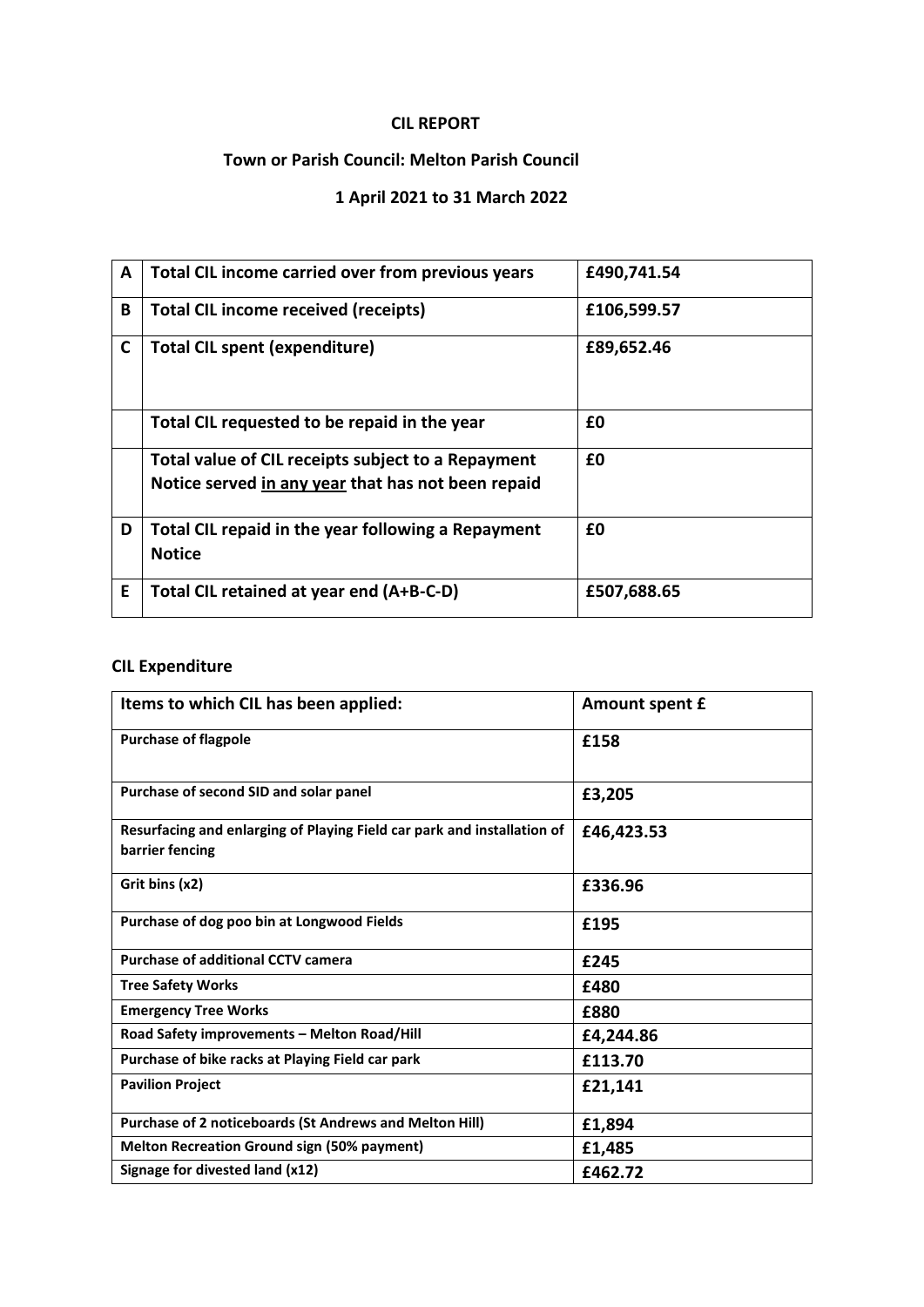## **CIL REPORT**

## **Town or Parish Council: Melton Parish Council**

## **1 April 2021 to 31 March 2022**

| A  | Total CIL income carried over from previous years                                                        | £490,741.54 |
|----|----------------------------------------------------------------------------------------------------------|-------------|
| B  | <b>Total CIL income received (receipts)</b>                                                              | £106,599.57 |
| C  | <b>Total CIL spent (expenditure)</b>                                                                     | £89,652.46  |
|    | Total CIL requested to be repaid in the year                                                             | £0          |
|    | Total value of CIL receipts subject to a Repayment<br>Notice served in any year that has not been repaid | £0          |
| D  | Total CIL repaid in the year following a Repayment<br><b>Notice</b>                                      | £0          |
| E. | Total CIL retained at year end (A+B-C-D)                                                                 | £507,688.65 |

## **CIL Expenditure**

| Items to which CIL has been applied:                                                       | Amount spent £ |
|--------------------------------------------------------------------------------------------|----------------|
| <b>Purchase of flagpole</b>                                                                | £158           |
| Purchase of second SID and solar panel                                                     | £3,205         |
| Resurfacing and enlarging of Playing Field car park and installation of<br>barrier fencing | £46,423.53     |
| Grit bins (x2)                                                                             | £336.96        |
| Purchase of dog poo bin at Longwood Fields                                                 | £195           |
| <b>Purchase of additional CCTV camera</b>                                                  | £245           |
| <b>Tree Safety Works</b>                                                                   | £480           |
| <b>Emergency Tree Works</b>                                                                | £880           |
| Road Safety improvements - Melton Road/Hill                                                | £4,244.86      |
| Purchase of bike racks at Playing Field car park                                           | £113.70        |
| <b>Pavilion Project</b>                                                                    | £21,141        |
| Purchase of 2 noticeboards (St Andrews and Melton Hill)                                    | £1,894         |
| <b>Melton Recreation Ground sign (50% payment)</b>                                         | £1,485         |
| Signage for divested land (x12)                                                            | £462.72        |